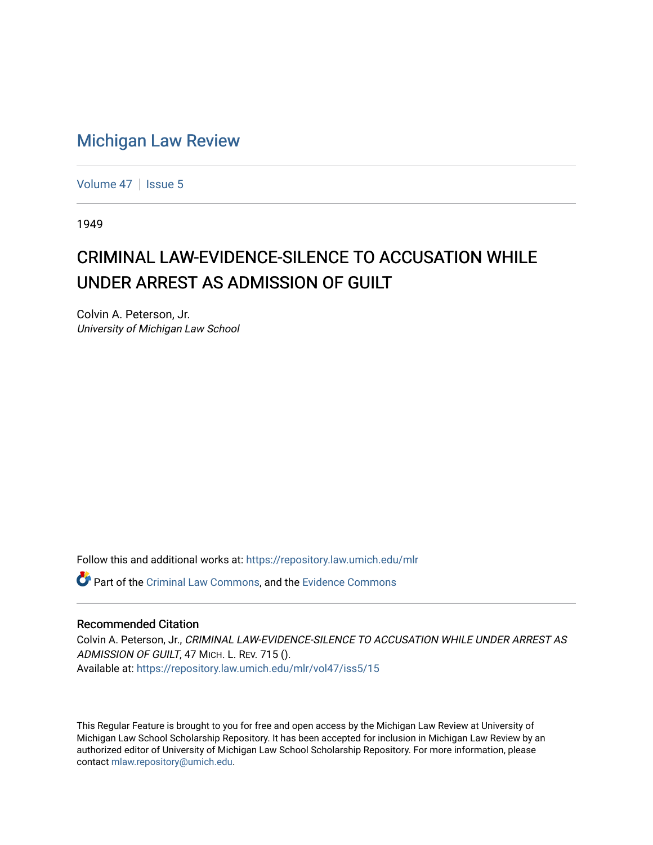## [Michigan Law Review](https://repository.law.umich.edu/mlr)

[Volume 47](https://repository.law.umich.edu/mlr/vol47) | [Issue 5](https://repository.law.umich.edu/mlr/vol47/iss5)

1949

## CRIMINAL LAW-EVIDENCE-SILENCE TO ACCUSATION WHILE UNDER ARREST AS ADMISSION OF GUILT

Colvin A. Peterson, Jr. University of Michigan Law School

Follow this and additional works at: [https://repository.law.umich.edu/mlr](https://repository.law.umich.edu/mlr?utm_source=repository.law.umich.edu%2Fmlr%2Fvol47%2Fiss5%2F15&utm_medium=PDF&utm_campaign=PDFCoverPages) 

Part of the [Criminal Law Commons,](http://network.bepress.com/hgg/discipline/912?utm_source=repository.law.umich.edu%2Fmlr%2Fvol47%2Fiss5%2F15&utm_medium=PDF&utm_campaign=PDFCoverPages) and the [Evidence Commons](http://network.bepress.com/hgg/discipline/601?utm_source=repository.law.umich.edu%2Fmlr%2Fvol47%2Fiss5%2F15&utm_medium=PDF&utm_campaign=PDFCoverPages) 

## Recommended Citation

Colvin A. Peterson, Jr., CRIMINAL LAW-EVIDENCE-SILENCE TO ACCUSATION WHILE UNDER ARREST AS ADMISSION OF GUILT, 47 MICH. L. REV. 715 (). Available at: [https://repository.law.umich.edu/mlr/vol47/iss5/15](https://repository.law.umich.edu/mlr/vol47/iss5/15?utm_source=repository.law.umich.edu%2Fmlr%2Fvol47%2Fiss5%2F15&utm_medium=PDF&utm_campaign=PDFCoverPages) 

This Regular Feature is brought to you for free and open access by the Michigan Law Review at University of Michigan Law School Scholarship Repository. It has been accepted for inclusion in Michigan Law Review by an authorized editor of University of Michigan Law School Scholarship Repository. For more information, please contact [mlaw.repository@umich.edu](mailto:mlaw.repository@umich.edu).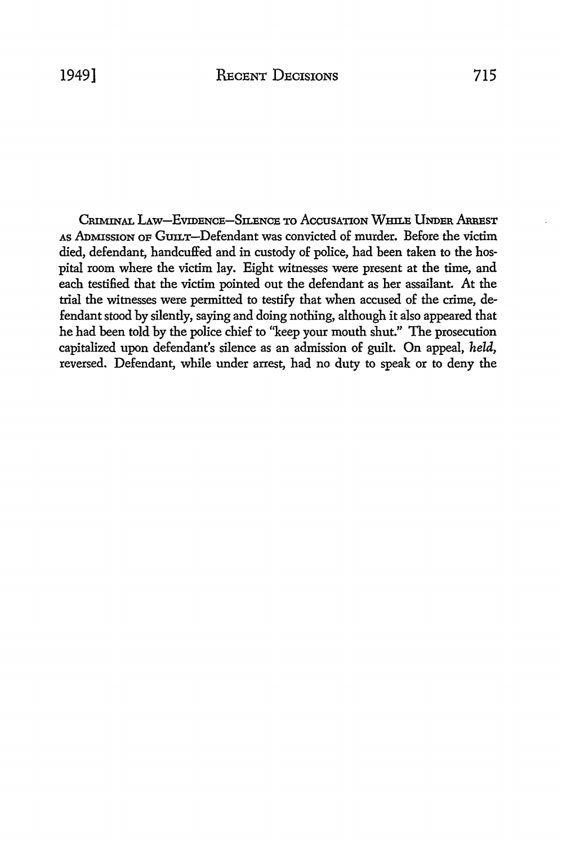CRIMINAL LAW-EVIDENCE-SILENCE TO ACCUSATION WHILE UNDER ARREST As ADMISSION OF GUILT-Defendant was convicted of murder. Before the victim died, defendant, handcuffed and in custody of police, had been taken to the hospital room where the victim lay. Eight witnesses were present at the time, and each testified that the victim pointed out the defendant as her assailant. At the trial the witnesses were permitted to testify that when accused of the crime, defendant stood by silently, saying and doing nothing, although it also appeared that he had been told by the police chief to ''keep your mouth shut." The prosecution capitalized upon defendant's silence as an admission of guilt. On appeal, *held,*  reversed. Defendant, while under arrest, had no duty to speak or to deny the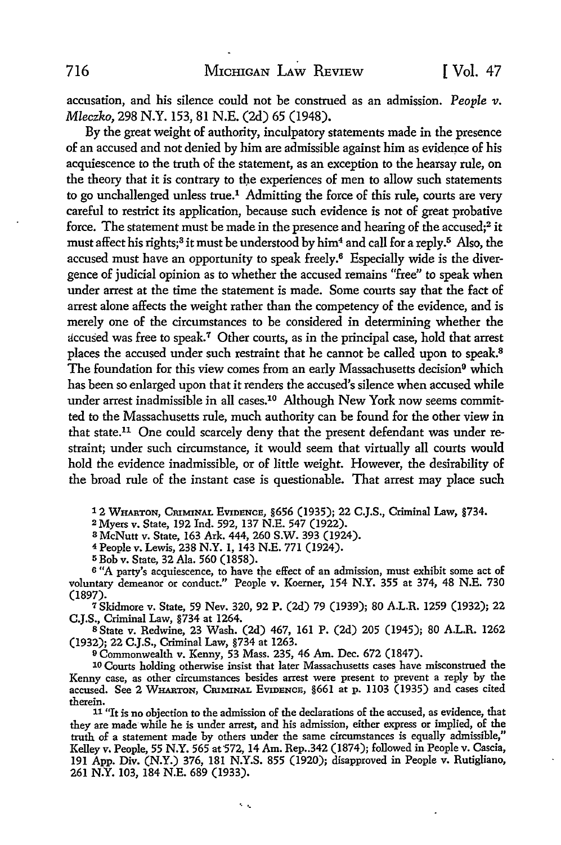accusation, and his silence could not be construed as an admission. *People v. Mleczko,* 298 N.Y. 153, 81 N.E. (2d) 65 (1948).

By the great weight of authority, inculpatory statements made in the presence of an accused and not denied by him are admissible against him as evidence of his acquiescence to the truth of the statement, as an exception to the hearsay rule, on the theory that it is contrary to the experiences of men to allow such statements to go unchallenged unless true.1 Admitting the force of this rule, courts are very careful to restrict its application, because such evidence is not of great probative force. The statement must be made in the presence and hearing of the accused;<sup>2</sup> it must affect his rights;<sup>3</sup> it must be understood by him<sup>4</sup> and call for a reply.<sup>5</sup> Also, the accused must have an opportunity to speak freely.<sup>6</sup> Especially wide is the divergence of judicial opinion as to whether the accused remains "free" to speak when under arrest at the time the statement is made. Some courts say that the fact of arrest alone affects the weight rather than the competency of the evidence, and is merely one of the circumstances to be considered in determining whether the accused was free to speak.<sup>7</sup> Other courts, as in the principal case, hold that arrest places the accused under such restraint that he cannot be called upon to speak.<sup>8</sup> The foundation for this view comes from an early Massachusetts decision<sup>9</sup> which has been so enlarged upon that it renders the accused's silence when accused while under arrest inadmissible in all cases.<sup>10</sup> Although New York now seems committed to the Massachusetts rule, much authority can be found for the other *view* in that state.11 One could scarcely deny that the present defendant was under restraint; under such circumstance, it would seem that virtually all courts would hold the evidence inadmissible, or of little weight. However, the desirability of the broad rule of the instant case is questionable. That arrest may place such

1 2 WHARTON, CRIMINAL EvmENCE, §656 (1935); 22 C.J.S., Criminal Law, §734.

<sup>2</sup>Myers v. State, 192 Ind. 592, 137 N.E. 547 (1922).

<sup>3</sup>McNutt v. State, 163 Ark. 444, 260 S.W. 393 (1924).

<sup>4</sup>People v. Lewis, 238 N.Y. 1, 143 N.E. 771 (1924).

<sup>5</sup>Bob v. State, 32 Ala. 560 (1858).

6 "A party's acquiescence, to have the effect of an admission, must exhibit some act of voluntary demeanor or conduct." People v. Koerner, 154 N.Y. 355 at 374, 48 N.E. 730 (1897).

<sup>7</sup>Skidmore v. State, 59 Nev. 320, 92 P. (2d) 79 (1939); 80 A.LR. 1259 (1932); 22 C.J.S., Criminal Law, §734 at 1264.

s State v. Redwine, 23 Wash. (2d) 467, 161 P. (2d) 205 (1945); 80 A.LR. 1262 (1932); 22 C.J.S., Criminal Law, §734 at 1263.

<sup>9</sup>Commonwealth v. Kenny, 53 Mass. 235, 46 Am. Dec. 672 (1847).

 $\mathbf{v}_\mathrm{max}$ 

10 Courts holding otherwise insist that later Massachusetts cases have misconstrued the Kenny case, as other circumstances besides arrest were present to prevent a reply by the accused. See 2 WHARTON, CRIMINAL EVIDENCE, §661 at p. 1103 (1935) and cases cited therein.

11 "It is no objection to the admission of the declarations of the accused, as evidence, that they are made while he is under arrest, and his admission, either express or implied, of the truth of a statement made by others under the same circumstances is equally admissible," Kelley v. People, 55 N.Y. 565 at 572, 14 Am. Rep. 342 (1874); followed in People v. Cascia, 191 App. Div. (N.Y.) 376, 181 N.Y.S. 855 (1920); disapproved in People v. Rutigliano, 261 N.Y. 103, 184 N.E. 689 (1933).